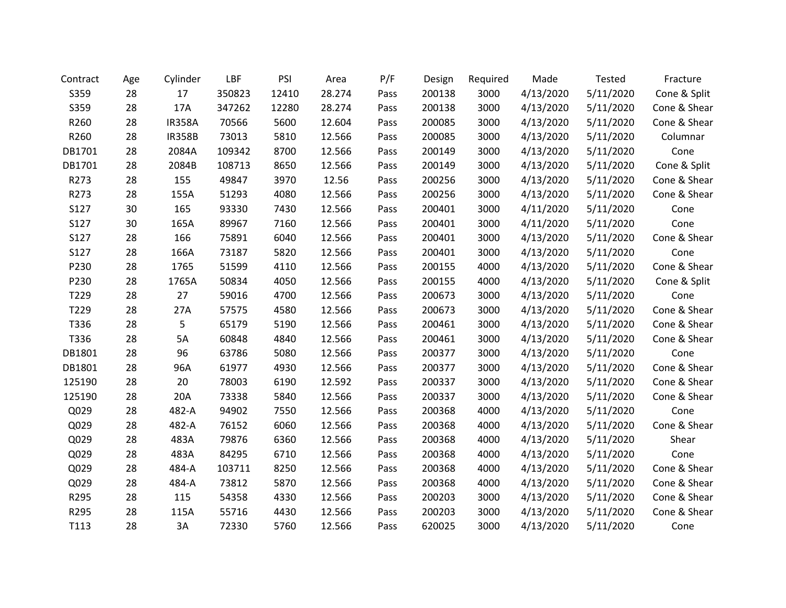| Contract | Age | Cylinder      | LBF    | PSI   | Area   | P/F  | Design | Required | Made      | Tested    | Fracture     |
|----------|-----|---------------|--------|-------|--------|------|--------|----------|-----------|-----------|--------------|
| S359     | 28  | 17            | 350823 | 12410 | 28.274 | Pass | 200138 | 3000     | 4/13/2020 | 5/11/2020 | Cone & Split |
| S359     | 28  | 17A           | 347262 | 12280 | 28.274 | Pass | 200138 | 3000     | 4/13/2020 | 5/11/2020 | Cone & Shear |
| R260     | 28  | <b>IR358A</b> | 70566  | 5600  | 12.604 | Pass | 200085 | 3000     | 4/13/2020 | 5/11/2020 | Cone & Shear |
| R260     | 28  | <b>IR358B</b> | 73013  | 5810  | 12.566 | Pass | 200085 | 3000     | 4/13/2020 | 5/11/2020 | Columnar     |
| DB1701   | 28  | 2084A         | 109342 | 8700  | 12.566 | Pass | 200149 | 3000     | 4/13/2020 | 5/11/2020 | Cone         |
| DB1701   | 28  | 2084B         | 108713 | 8650  | 12.566 | Pass | 200149 | 3000     | 4/13/2020 | 5/11/2020 | Cone & Split |
| R273     | 28  | 155           | 49847  | 3970  | 12.56  | Pass | 200256 | 3000     | 4/13/2020 | 5/11/2020 | Cone & Shear |
| R273     | 28  | 155A          | 51293  | 4080  | 12.566 | Pass | 200256 | 3000     | 4/13/2020 | 5/11/2020 | Cone & Shear |
| S127     | 30  | 165           | 93330  | 7430  | 12.566 | Pass | 200401 | 3000     | 4/11/2020 | 5/11/2020 | Cone         |
| S127     | 30  | 165A          | 89967  | 7160  | 12.566 | Pass | 200401 | 3000     | 4/11/2020 | 5/11/2020 | Cone         |
| S127     | 28  | 166           | 75891  | 6040  | 12.566 | Pass | 200401 | 3000     | 4/13/2020 | 5/11/2020 | Cone & Shear |
| S127     | 28  | 166A          | 73187  | 5820  | 12.566 | Pass | 200401 | 3000     | 4/13/2020 | 5/11/2020 | Cone         |
| P230     | 28  | 1765          | 51599  | 4110  | 12.566 | Pass | 200155 | 4000     | 4/13/2020 | 5/11/2020 | Cone & Shear |
| P230     | 28  | 1765A         | 50834  | 4050  | 12.566 | Pass | 200155 | 4000     | 4/13/2020 | 5/11/2020 | Cone & Split |
| T229     | 28  | 27            | 59016  | 4700  | 12.566 | Pass | 200673 | 3000     | 4/13/2020 | 5/11/2020 | Cone         |
| T229     | 28  | 27A           | 57575  | 4580  | 12.566 | Pass | 200673 | 3000     | 4/13/2020 | 5/11/2020 | Cone & Shear |
| T336     | 28  | 5             | 65179  | 5190  | 12.566 | Pass | 200461 | 3000     | 4/13/2020 | 5/11/2020 | Cone & Shear |
| T336     | 28  | 5A            | 60848  | 4840  | 12.566 | Pass | 200461 | 3000     | 4/13/2020 | 5/11/2020 | Cone & Shear |
| DB1801   | 28  | 96            | 63786  | 5080  | 12.566 | Pass | 200377 | 3000     | 4/13/2020 | 5/11/2020 | Cone         |
| DB1801   | 28  | 96A           | 61977  | 4930  | 12.566 | Pass | 200377 | 3000     | 4/13/2020 | 5/11/2020 | Cone & Shear |
| 125190   | 28  | 20            | 78003  | 6190  | 12.592 | Pass | 200337 | 3000     | 4/13/2020 | 5/11/2020 | Cone & Shear |
| 125190   | 28  | 20A           | 73338  | 5840  | 12.566 | Pass | 200337 | 3000     | 4/13/2020 | 5/11/2020 | Cone & Shear |
| Q029     | 28  | 482-A         | 94902  | 7550  | 12.566 | Pass | 200368 | 4000     | 4/13/2020 | 5/11/2020 | Cone         |
| Q029     | 28  | 482-A         | 76152  | 6060  | 12.566 | Pass | 200368 | 4000     | 4/13/2020 | 5/11/2020 | Cone & Shear |
| Q029     | 28  | 483A          | 79876  | 6360  | 12.566 | Pass | 200368 | 4000     | 4/13/2020 | 5/11/2020 | Shear        |
| Q029     | 28  | 483A          | 84295  | 6710  | 12.566 | Pass | 200368 | 4000     | 4/13/2020 | 5/11/2020 | Cone         |
| Q029     | 28  | 484-A         | 103711 | 8250  | 12.566 | Pass | 200368 | 4000     | 4/13/2020 | 5/11/2020 | Cone & Shear |
| Q029     | 28  | 484-A         | 73812  | 5870  | 12.566 | Pass | 200368 | 4000     | 4/13/2020 | 5/11/2020 | Cone & Shear |
| R295     | 28  | 115           | 54358  | 4330  | 12.566 | Pass | 200203 | 3000     | 4/13/2020 | 5/11/2020 | Cone & Shear |
| R295     | 28  | 115A          | 55716  | 4430  | 12.566 | Pass | 200203 | 3000     | 4/13/2020 | 5/11/2020 | Cone & Shear |
| T113     | 28  | 3A            | 72330  | 5760  | 12.566 | Pass | 620025 | 3000     | 4/13/2020 | 5/11/2020 | Cone         |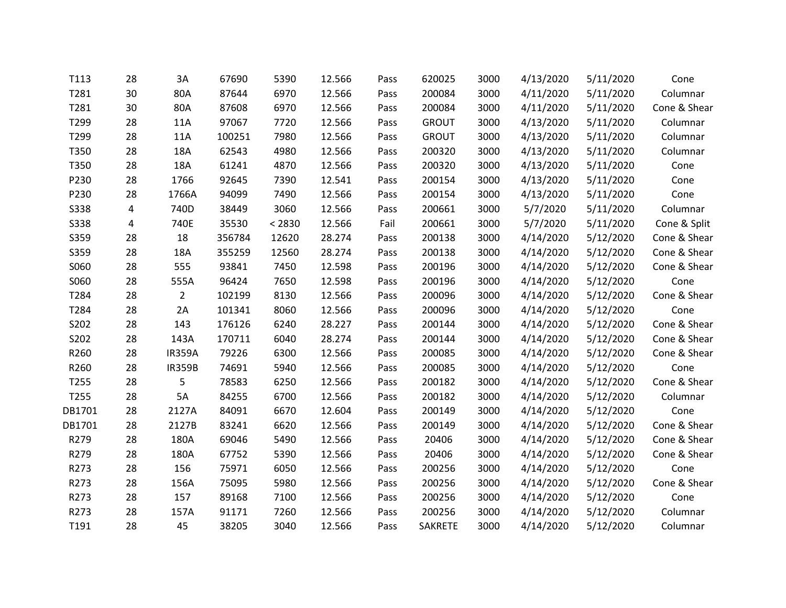| T113        | 28 | 3A             | 67690  | 5390   | 12.566 | Pass | 620025         | 3000 | 4/13/2020 | 5/11/2020 | Cone         |
|-------------|----|----------------|--------|--------|--------|------|----------------|------|-----------|-----------|--------------|
| T281        | 30 | 80A            | 87644  | 6970   | 12.566 | Pass | 200084         | 3000 | 4/11/2020 | 5/11/2020 | Columnar     |
| T281        | 30 | 80A            | 87608  | 6970   | 12.566 | Pass | 200084         | 3000 | 4/11/2020 | 5/11/2020 | Cone & Shear |
| T299        | 28 | 11A            | 97067  | 7720   | 12.566 | Pass | <b>GROUT</b>   | 3000 | 4/13/2020 | 5/11/2020 | Columnar     |
| T299        | 28 | 11A            | 100251 | 7980   | 12.566 | Pass | <b>GROUT</b>   | 3000 | 4/13/2020 | 5/11/2020 | Columnar     |
| T350        | 28 | 18A            | 62543  | 4980   | 12.566 | Pass | 200320         | 3000 | 4/13/2020 | 5/11/2020 | Columnar     |
| T350        | 28 | 18A            | 61241  | 4870   | 12.566 | Pass | 200320         | 3000 | 4/13/2020 | 5/11/2020 | Cone         |
| P230        | 28 | 1766           | 92645  | 7390   | 12.541 | Pass | 200154         | 3000 | 4/13/2020 | 5/11/2020 | Cone         |
| P230        | 28 | 1766A          | 94099  | 7490   | 12.566 | Pass | 200154         | 3000 | 4/13/2020 | 5/11/2020 | Cone         |
| <b>S338</b> | 4  | 740D           | 38449  | 3060   | 12.566 | Pass | 200661         | 3000 | 5/7/2020  | 5/11/2020 | Columnar     |
| <b>S338</b> | 4  | 740E           | 35530  | < 2830 | 12.566 | Fail | 200661         | 3000 | 5/7/2020  | 5/11/2020 | Cone & Split |
| S359        | 28 | 18             | 356784 | 12620  | 28.274 | Pass | 200138         | 3000 | 4/14/2020 | 5/12/2020 | Cone & Shear |
| S359        | 28 | 18A            | 355259 | 12560  | 28.274 | Pass | 200138         | 3000 | 4/14/2020 | 5/12/2020 | Cone & Shear |
| S060        | 28 | 555            | 93841  | 7450   | 12.598 | Pass | 200196         | 3000 | 4/14/2020 | 5/12/2020 | Cone & Shear |
| S060        | 28 | 555A           | 96424  | 7650   | 12.598 | Pass | 200196         | 3000 | 4/14/2020 | 5/12/2020 | Cone         |
| T284        | 28 | $\overline{2}$ | 102199 | 8130   | 12.566 | Pass | 200096         | 3000 | 4/14/2020 | 5/12/2020 | Cone & Shear |
| T284        | 28 | 2A             | 101341 | 8060   | 12.566 | Pass | 200096         | 3000 | 4/14/2020 | 5/12/2020 | Cone         |
| S202        | 28 | 143            | 176126 | 6240   | 28.227 | Pass | 200144         | 3000 | 4/14/2020 | 5/12/2020 | Cone & Shear |
| S202        | 28 | 143A           | 170711 | 6040   | 28.274 | Pass | 200144         | 3000 | 4/14/2020 | 5/12/2020 | Cone & Shear |
| R260        | 28 | <b>IR359A</b>  | 79226  | 6300   | 12.566 | Pass | 200085         | 3000 | 4/14/2020 | 5/12/2020 | Cone & Shear |
| R260        | 28 | <b>IR359B</b>  | 74691  | 5940   | 12.566 | Pass | 200085         | 3000 | 4/14/2020 | 5/12/2020 | Cone         |
| T255        | 28 | 5              | 78583  | 6250   | 12.566 | Pass | 200182         | 3000 | 4/14/2020 | 5/12/2020 | Cone & Shear |
| T255        | 28 | 5A             | 84255  | 6700   | 12.566 | Pass | 200182         | 3000 | 4/14/2020 | 5/12/2020 | Columnar     |
| DB1701      | 28 | 2127A          | 84091  | 6670   | 12.604 | Pass | 200149         | 3000 | 4/14/2020 | 5/12/2020 | Cone         |
| DB1701      | 28 | 2127B          | 83241  | 6620   | 12.566 | Pass | 200149         | 3000 | 4/14/2020 | 5/12/2020 | Cone & Shear |
| R279        | 28 | 180A           | 69046  | 5490   | 12.566 | Pass | 20406          | 3000 | 4/14/2020 | 5/12/2020 | Cone & Shear |
| R279        | 28 | 180A           | 67752  | 5390   | 12.566 | Pass | 20406          | 3000 | 4/14/2020 | 5/12/2020 | Cone & Shear |
| R273        | 28 | 156            | 75971  | 6050   | 12.566 | Pass | 200256         | 3000 | 4/14/2020 | 5/12/2020 | Cone         |
| R273        | 28 | 156A           | 75095  | 5980   | 12.566 | Pass | 200256         | 3000 | 4/14/2020 | 5/12/2020 | Cone & Shear |
| R273        | 28 | 157            | 89168  | 7100   | 12.566 | Pass | 200256         | 3000 | 4/14/2020 | 5/12/2020 | Cone         |
| R273        | 28 | 157A           | 91171  | 7260   | 12.566 | Pass | 200256         | 3000 | 4/14/2020 | 5/12/2020 | Columnar     |
| T191        | 28 | 45             | 38205  | 3040   | 12.566 | Pass | <b>SAKRETE</b> | 3000 | 4/14/2020 | 5/12/2020 | Columnar     |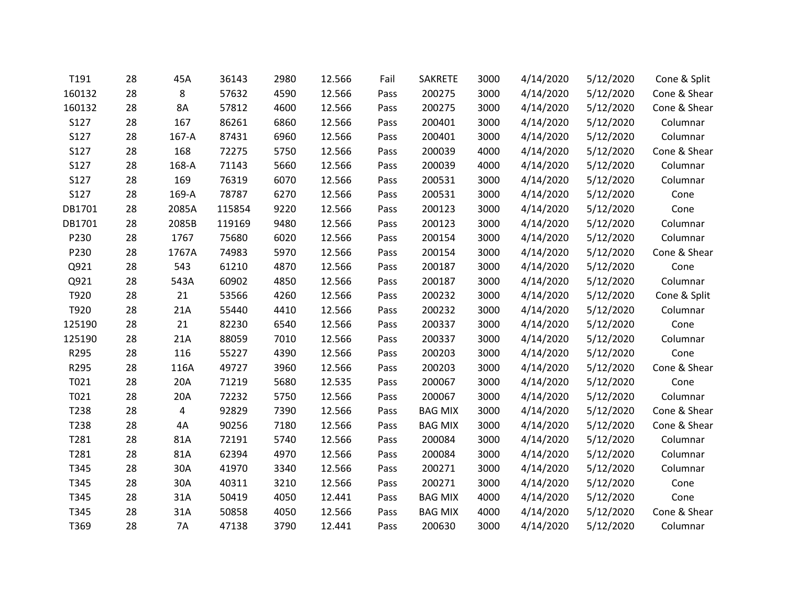| T191   | 28 | 45A       | 36143  | 2980 | 12.566 | Fail | <b>SAKRETE</b> | 3000 | 4/14/2020 | 5/12/2020 | Cone & Split |
|--------|----|-----------|--------|------|--------|------|----------------|------|-----------|-----------|--------------|
| 160132 | 28 | 8         | 57632  | 4590 | 12.566 | Pass | 200275         | 3000 | 4/14/2020 | 5/12/2020 | Cone & Shear |
| 160132 | 28 | 8A        | 57812  | 4600 | 12.566 | Pass | 200275         | 3000 | 4/14/2020 | 5/12/2020 | Cone & Shear |
| S127   | 28 | 167       | 86261  | 6860 | 12.566 | Pass | 200401         | 3000 | 4/14/2020 | 5/12/2020 | Columnar     |
| S127   | 28 | 167-A     | 87431  | 6960 | 12.566 | Pass | 200401         | 3000 | 4/14/2020 | 5/12/2020 | Columnar     |
| S127   | 28 | 168       | 72275  | 5750 | 12.566 | Pass | 200039         | 4000 | 4/14/2020 | 5/12/2020 | Cone & Shear |
| S127   | 28 | 168-A     | 71143  | 5660 | 12.566 | Pass | 200039         | 4000 | 4/14/2020 | 5/12/2020 | Columnar     |
| S127   | 28 | 169       | 76319  | 6070 | 12.566 | Pass | 200531         | 3000 | 4/14/2020 | 5/12/2020 | Columnar     |
| S127   | 28 | 169-A     | 78787  | 6270 | 12.566 | Pass | 200531         | 3000 | 4/14/2020 | 5/12/2020 | Cone         |
| DB1701 | 28 | 2085A     | 115854 | 9220 | 12.566 | Pass | 200123         | 3000 | 4/14/2020 | 5/12/2020 | Cone         |
| DB1701 | 28 | 2085B     | 119169 | 9480 | 12.566 | Pass | 200123         | 3000 | 4/14/2020 | 5/12/2020 | Columnar     |
| P230   | 28 | 1767      | 75680  | 6020 | 12.566 | Pass | 200154         | 3000 | 4/14/2020 | 5/12/2020 | Columnar     |
| P230   | 28 | 1767A     | 74983  | 5970 | 12.566 | Pass | 200154         | 3000 | 4/14/2020 | 5/12/2020 | Cone & Shear |
| Q921   | 28 | 543       | 61210  | 4870 | 12.566 | Pass | 200187         | 3000 | 4/14/2020 | 5/12/2020 | Cone         |
| Q921   | 28 | 543A      | 60902  | 4850 | 12.566 | Pass | 200187         | 3000 | 4/14/2020 | 5/12/2020 | Columnar     |
| T920   | 28 | 21        | 53566  | 4260 | 12.566 | Pass | 200232         | 3000 | 4/14/2020 | 5/12/2020 | Cone & Split |
| T920   | 28 | 21A       | 55440  | 4410 | 12.566 | Pass | 200232         | 3000 | 4/14/2020 | 5/12/2020 | Columnar     |
| 125190 | 28 | 21        | 82230  | 6540 | 12.566 | Pass | 200337         | 3000 | 4/14/2020 | 5/12/2020 | Cone         |
| 125190 | 28 | 21A       | 88059  | 7010 | 12.566 | Pass | 200337         | 3000 | 4/14/2020 | 5/12/2020 | Columnar     |
| R295   | 28 | 116       | 55227  | 4390 | 12.566 | Pass | 200203         | 3000 | 4/14/2020 | 5/12/2020 | Cone         |
| R295   | 28 | 116A      | 49727  | 3960 | 12.566 | Pass | 200203         | 3000 | 4/14/2020 | 5/12/2020 | Cone & Shear |
| T021   | 28 | 20A       | 71219  | 5680 | 12.535 | Pass | 200067         | 3000 | 4/14/2020 | 5/12/2020 | Cone         |
| T021   | 28 | 20A       | 72232  | 5750 | 12.566 | Pass | 200067         | 3000 | 4/14/2020 | 5/12/2020 | Columnar     |
| T238   | 28 | 4         | 92829  | 7390 | 12.566 | Pass | <b>BAG MIX</b> | 3000 | 4/14/2020 | 5/12/2020 | Cone & Shear |
| T238   | 28 | 4A        | 90256  | 7180 | 12.566 | Pass | <b>BAG MIX</b> | 3000 | 4/14/2020 | 5/12/2020 | Cone & Shear |
| T281   | 28 | 81A       | 72191  | 5740 | 12.566 | Pass | 200084         | 3000 | 4/14/2020 | 5/12/2020 | Columnar     |
| T281   | 28 | 81A       | 62394  | 4970 | 12.566 | Pass | 200084         | 3000 | 4/14/2020 | 5/12/2020 | Columnar     |
| T345   | 28 | 30A       | 41970  | 3340 | 12.566 | Pass | 200271         | 3000 | 4/14/2020 | 5/12/2020 | Columnar     |
| T345   | 28 | 30A       | 40311  | 3210 | 12.566 | Pass | 200271         | 3000 | 4/14/2020 | 5/12/2020 | Cone         |
| T345   | 28 | 31A       | 50419  | 4050 | 12.441 | Pass | <b>BAG MIX</b> | 4000 | 4/14/2020 | 5/12/2020 | Cone         |
| T345   | 28 | 31A       | 50858  | 4050 | 12.566 | Pass | <b>BAG MIX</b> | 4000 | 4/14/2020 | 5/12/2020 | Cone & Shear |
| T369   | 28 | <b>7A</b> | 47138  | 3790 | 12.441 | Pass | 200630         | 3000 | 4/14/2020 | 5/12/2020 | Columnar     |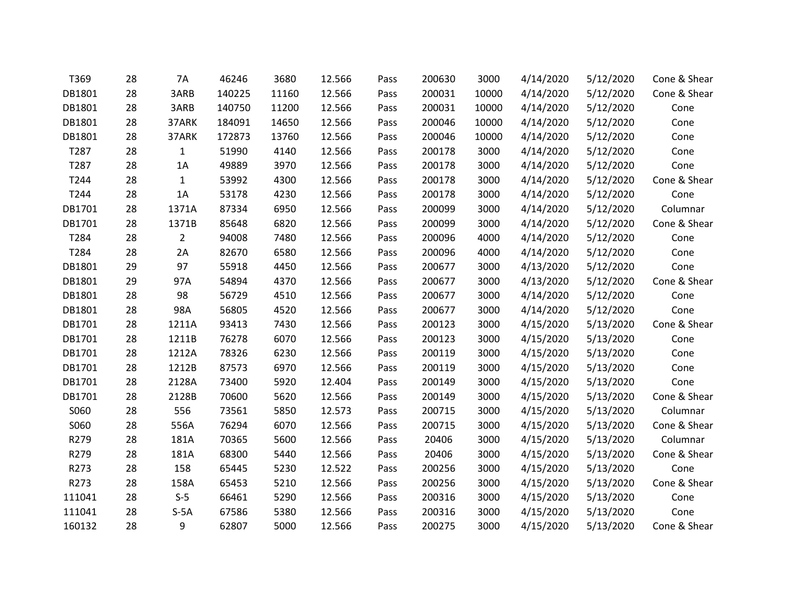| T369   | 28 | <b>7A</b>      | 46246  | 3680  | 12.566 | Pass | 200630 | 3000  | 4/14/2020 | 5/12/2020 | Cone & Shear |
|--------|----|----------------|--------|-------|--------|------|--------|-------|-----------|-----------|--------------|
| DB1801 | 28 | 3ARB           | 140225 | 11160 | 12.566 | Pass | 200031 | 10000 | 4/14/2020 | 5/12/2020 | Cone & Shear |
| DB1801 | 28 | 3ARB           | 140750 | 11200 | 12.566 | Pass | 200031 | 10000 | 4/14/2020 | 5/12/2020 | Cone         |
| DB1801 | 28 | 37ARK          | 184091 | 14650 | 12.566 | Pass | 200046 | 10000 | 4/14/2020 | 5/12/2020 | Cone         |
| DB1801 | 28 | 37ARK          | 172873 | 13760 | 12.566 | Pass | 200046 | 10000 | 4/14/2020 | 5/12/2020 | Cone         |
| T287   | 28 | $\mathbf{1}$   | 51990  | 4140  | 12.566 | Pass | 200178 | 3000  | 4/14/2020 | 5/12/2020 | Cone         |
| T287   | 28 | 1A             | 49889  | 3970  | 12.566 | Pass | 200178 | 3000  | 4/14/2020 | 5/12/2020 | Cone         |
| T244   | 28 | $\mathbf{1}$   | 53992  | 4300  | 12.566 | Pass | 200178 | 3000  | 4/14/2020 | 5/12/2020 | Cone & Shear |
| T244   | 28 | 1A             | 53178  | 4230  | 12.566 | Pass | 200178 | 3000  | 4/14/2020 | 5/12/2020 | Cone         |
| DB1701 | 28 | 1371A          | 87334  | 6950  | 12.566 | Pass | 200099 | 3000  | 4/14/2020 | 5/12/2020 | Columnar     |
| DB1701 | 28 | 1371B          | 85648  | 6820  | 12.566 | Pass | 200099 | 3000  | 4/14/2020 | 5/12/2020 | Cone & Shear |
| T284   | 28 | $\overline{2}$ | 94008  | 7480  | 12.566 | Pass | 200096 | 4000  | 4/14/2020 | 5/12/2020 | Cone         |
| T284   | 28 | 2A             | 82670  | 6580  | 12.566 | Pass | 200096 | 4000  | 4/14/2020 | 5/12/2020 | Cone         |
| DB1801 | 29 | 97             | 55918  | 4450  | 12.566 | Pass | 200677 | 3000  | 4/13/2020 | 5/12/2020 | Cone         |
| DB1801 | 29 | 97A            | 54894  | 4370  | 12.566 | Pass | 200677 | 3000  | 4/13/2020 | 5/12/2020 | Cone & Shear |
| DB1801 | 28 | 98             | 56729  | 4510  | 12.566 | Pass | 200677 | 3000  | 4/14/2020 | 5/12/2020 | Cone         |
| DB1801 | 28 | 98A            | 56805  | 4520  | 12.566 | Pass | 200677 | 3000  | 4/14/2020 | 5/12/2020 | Cone         |
| DB1701 | 28 | 1211A          | 93413  | 7430  | 12.566 | Pass | 200123 | 3000  | 4/15/2020 | 5/13/2020 | Cone & Shear |
| DB1701 | 28 | 1211B          | 76278  | 6070  | 12.566 | Pass | 200123 | 3000  | 4/15/2020 | 5/13/2020 | Cone         |
| DB1701 | 28 | 1212A          | 78326  | 6230  | 12.566 | Pass | 200119 | 3000  | 4/15/2020 | 5/13/2020 | Cone         |
| DB1701 | 28 | 1212B          | 87573  | 6970  | 12.566 | Pass | 200119 | 3000  | 4/15/2020 | 5/13/2020 | Cone         |
| DB1701 | 28 | 2128A          | 73400  | 5920  | 12.404 | Pass | 200149 | 3000  | 4/15/2020 | 5/13/2020 | Cone         |
| DB1701 | 28 | 2128B          | 70600  | 5620  | 12.566 | Pass | 200149 | 3000  | 4/15/2020 | 5/13/2020 | Cone & Shear |
| S060   | 28 | 556            | 73561  | 5850  | 12.573 | Pass | 200715 | 3000  | 4/15/2020 | 5/13/2020 | Columnar     |
| S060   | 28 | 556A           | 76294  | 6070  | 12.566 | Pass | 200715 | 3000  | 4/15/2020 | 5/13/2020 | Cone & Shear |
| R279   | 28 | 181A           | 70365  | 5600  | 12.566 | Pass | 20406  | 3000  | 4/15/2020 | 5/13/2020 | Columnar     |
| R279   | 28 | 181A           | 68300  | 5440  | 12.566 | Pass | 20406  | 3000  | 4/15/2020 | 5/13/2020 | Cone & Shear |
| R273   | 28 | 158            | 65445  | 5230  | 12.522 | Pass | 200256 | 3000  | 4/15/2020 | 5/13/2020 | Cone         |
| R273   | 28 | 158A           | 65453  | 5210  | 12.566 | Pass | 200256 | 3000  | 4/15/2020 | 5/13/2020 | Cone & Shear |
| 111041 | 28 | $S-5$          | 66461  | 5290  | 12.566 | Pass | 200316 | 3000  | 4/15/2020 | 5/13/2020 | Cone         |
| 111041 | 28 | $S-5A$         | 67586  | 5380  | 12.566 | Pass | 200316 | 3000  | 4/15/2020 | 5/13/2020 | Cone         |
| 160132 | 28 | 9              | 62807  | 5000  | 12.566 | Pass | 200275 | 3000  | 4/15/2020 | 5/13/2020 | Cone & Shear |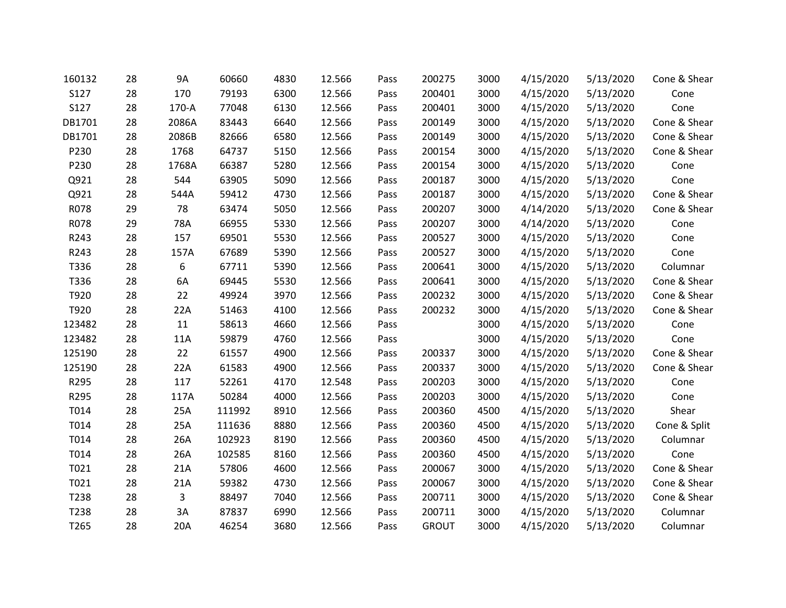| 160132 | 28 | <b>9A</b> | 60660  | 4830 | 12.566 | Pass | 200275       | 3000 | 4/15/2020 | 5/13/2020 | Cone & Shear |
|--------|----|-----------|--------|------|--------|------|--------------|------|-----------|-----------|--------------|
| S127   | 28 | 170       | 79193  | 6300 | 12.566 | Pass | 200401       | 3000 | 4/15/2020 | 5/13/2020 | Cone         |
| S127   | 28 | 170-A     | 77048  | 6130 | 12.566 | Pass | 200401       | 3000 | 4/15/2020 | 5/13/2020 | Cone         |
| DB1701 | 28 | 2086A     | 83443  | 6640 | 12.566 | Pass | 200149       | 3000 | 4/15/2020 | 5/13/2020 | Cone & Shear |
| DB1701 | 28 | 2086B     | 82666  | 6580 | 12.566 | Pass | 200149       | 3000 | 4/15/2020 | 5/13/2020 | Cone & Shear |
| P230   | 28 | 1768      | 64737  | 5150 | 12.566 | Pass | 200154       | 3000 | 4/15/2020 | 5/13/2020 | Cone & Shear |
| P230   | 28 | 1768A     | 66387  | 5280 | 12.566 | Pass | 200154       | 3000 | 4/15/2020 | 5/13/2020 | Cone         |
| Q921   | 28 | 544       | 63905  | 5090 | 12.566 | Pass | 200187       | 3000 | 4/15/2020 | 5/13/2020 | Cone         |
| Q921   | 28 | 544A      | 59412  | 4730 | 12.566 | Pass | 200187       | 3000 | 4/15/2020 | 5/13/2020 | Cone & Shear |
| R078   | 29 | 78        | 63474  | 5050 | 12.566 | Pass | 200207       | 3000 | 4/14/2020 | 5/13/2020 | Cone & Shear |
| R078   | 29 | 78A       | 66955  | 5330 | 12.566 | Pass | 200207       | 3000 | 4/14/2020 | 5/13/2020 | Cone         |
| R243   | 28 | 157       | 69501  | 5530 | 12.566 | Pass | 200527       | 3000 | 4/15/2020 | 5/13/2020 | Cone         |
| R243   | 28 | 157A      | 67689  | 5390 | 12.566 | Pass | 200527       | 3000 | 4/15/2020 | 5/13/2020 | Cone         |
| T336   | 28 | 6         | 67711  | 5390 | 12.566 | Pass | 200641       | 3000 | 4/15/2020 | 5/13/2020 | Columnar     |
| T336   | 28 | 6A        | 69445  | 5530 | 12.566 | Pass | 200641       | 3000 | 4/15/2020 | 5/13/2020 | Cone & Shear |
| T920   | 28 | 22        | 49924  | 3970 | 12.566 | Pass | 200232       | 3000 | 4/15/2020 | 5/13/2020 | Cone & Shear |
| T920   | 28 | 22A       | 51463  | 4100 | 12.566 | Pass | 200232       | 3000 | 4/15/2020 | 5/13/2020 | Cone & Shear |
| 123482 | 28 | $11\,$    | 58613  | 4660 | 12.566 | Pass |              | 3000 | 4/15/2020 | 5/13/2020 | Cone         |
| 123482 | 28 | 11A       | 59879  | 4760 | 12.566 | Pass |              | 3000 | 4/15/2020 | 5/13/2020 | Cone         |
| 125190 | 28 | 22        | 61557  | 4900 | 12.566 | Pass | 200337       | 3000 | 4/15/2020 | 5/13/2020 | Cone & Shear |
| 125190 | 28 | 22A       | 61583  | 4900 | 12.566 | Pass | 200337       | 3000 | 4/15/2020 | 5/13/2020 | Cone & Shear |
| R295   | 28 | 117       | 52261  | 4170 | 12.548 | Pass | 200203       | 3000 | 4/15/2020 | 5/13/2020 | Cone         |
| R295   | 28 | 117A      | 50284  | 4000 | 12.566 | Pass | 200203       | 3000 | 4/15/2020 | 5/13/2020 | Cone         |
| T014   | 28 | 25A       | 111992 | 8910 | 12.566 | Pass | 200360       | 4500 | 4/15/2020 | 5/13/2020 | Shear        |
| T014   | 28 | 25A       | 111636 | 8880 | 12.566 | Pass | 200360       | 4500 | 4/15/2020 | 5/13/2020 | Cone & Split |
| T014   | 28 | 26A       | 102923 | 8190 | 12.566 | Pass | 200360       | 4500 | 4/15/2020 | 5/13/2020 | Columnar     |
| T014   | 28 | 26A       | 102585 | 8160 | 12.566 | Pass | 200360       | 4500 | 4/15/2020 | 5/13/2020 | Cone         |
| T021   | 28 | 21A       | 57806  | 4600 | 12.566 | Pass | 200067       | 3000 | 4/15/2020 | 5/13/2020 | Cone & Shear |
| T021   | 28 | 21A       | 59382  | 4730 | 12.566 | Pass | 200067       | 3000 | 4/15/2020 | 5/13/2020 | Cone & Shear |
| T238   | 28 | 3         | 88497  | 7040 | 12.566 | Pass | 200711       | 3000 | 4/15/2020 | 5/13/2020 | Cone & Shear |
| T238   | 28 | 3A        | 87837  | 6990 | 12.566 | Pass | 200711       | 3000 | 4/15/2020 | 5/13/2020 | Columnar     |
| T265   | 28 | 20A       | 46254  | 3680 | 12.566 | Pass | <b>GROUT</b> | 3000 | 4/15/2020 | 5/13/2020 | Columnar     |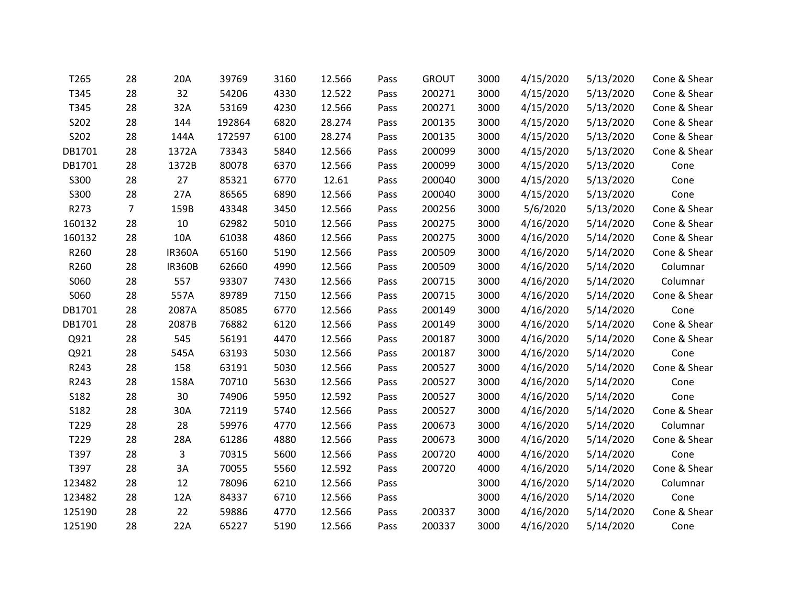| T265   | 28 | 20A           | 39769  | 3160 | 12.566 | Pass | <b>GROUT</b> | 3000 | 4/15/2020 | 5/13/2020 | Cone & Shear |
|--------|----|---------------|--------|------|--------|------|--------------|------|-----------|-----------|--------------|
| T345   | 28 | 32            | 54206  | 4330 | 12.522 | Pass | 200271       | 3000 | 4/15/2020 | 5/13/2020 | Cone & Shear |
| T345   | 28 | 32A           | 53169  | 4230 | 12.566 | Pass | 200271       | 3000 | 4/15/2020 | 5/13/2020 | Cone & Shear |
| S202   | 28 | 144           | 192864 | 6820 | 28.274 | Pass | 200135       | 3000 | 4/15/2020 | 5/13/2020 | Cone & Shear |
| S202   | 28 | 144A          | 172597 | 6100 | 28.274 | Pass | 200135       | 3000 | 4/15/2020 | 5/13/2020 | Cone & Shear |
| DB1701 | 28 | 1372A         | 73343  | 5840 | 12.566 | Pass | 200099       | 3000 | 4/15/2020 | 5/13/2020 | Cone & Shear |
| DB1701 | 28 | 1372B         | 80078  | 6370 | 12.566 | Pass | 200099       | 3000 | 4/15/2020 | 5/13/2020 | Cone         |
| S300   | 28 | 27            | 85321  | 6770 | 12.61  | Pass | 200040       | 3000 | 4/15/2020 | 5/13/2020 | Cone         |
| S300   | 28 | 27A           | 86565  | 6890 | 12.566 | Pass | 200040       | 3000 | 4/15/2020 | 5/13/2020 | Cone         |
| R273   | 7  | 159B          | 43348  | 3450 | 12.566 | Pass | 200256       | 3000 | 5/6/2020  | 5/13/2020 | Cone & Shear |
| 160132 | 28 | 10            | 62982  | 5010 | 12.566 | Pass | 200275       | 3000 | 4/16/2020 | 5/14/2020 | Cone & Shear |
| 160132 | 28 | 10A           | 61038  | 4860 | 12.566 | Pass | 200275       | 3000 | 4/16/2020 | 5/14/2020 | Cone & Shear |
| R260   | 28 | <b>IR360A</b> | 65160  | 5190 | 12.566 | Pass | 200509       | 3000 | 4/16/2020 | 5/14/2020 | Cone & Shear |
| R260   | 28 | <b>IR360B</b> | 62660  | 4990 | 12.566 | Pass | 200509       | 3000 | 4/16/2020 | 5/14/2020 | Columnar     |
| S060   | 28 | 557           | 93307  | 7430 | 12.566 | Pass | 200715       | 3000 | 4/16/2020 | 5/14/2020 | Columnar     |
| S060   | 28 | 557A          | 89789  | 7150 | 12.566 | Pass | 200715       | 3000 | 4/16/2020 | 5/14/2020 | Cone & Shear |
| DB1701 | 28 | 2087A         | 85085  | 6770 | 12.566 | Pass | 200149       | 3000 | 4/16/2020 | 5/14/2020 | Cone         |
| DB1701 | 28 | 2087B         | 76882  | 6120 | 12.566 | Pass | 200149       | 3000 | 4/16/2020 | 5/14/2020 | Cone & Shear |
| Q921   | 28 | 545           | 56191  | 4470 | 12.566 | Pass | 200187       | 3000 | 4/16/2020 | 5/14/2020 | Cone & Shear |
| Q921   | 28 | 545A          | 63193  | 5030 | 12.566 | Pass | 200187       | 3000 | 4/16/2020 | 5/14/2020 | Cone         |
| R243   | 28 | 158           | 63191  | 5030 | 12.566 | Pass | 200527       | 3000 | 4/16/2020 | 5/14/2020 | Cone & Shear |
| R243   | 28 | 158A          | 70710  | 5630 | 12.566 | Pass | 200527       | 3000 | 4/16/2020 | 5/14/2020 | Cone         |
| S182   | 28 | 30            | 74906  | 5950 | 12.592 | Pass | 200527       | 3000 | 4/16/2020 | 5/14/2020 | Cone         |
| S182   | 28 | 30A           | 72119  | 5740 | 12.566 | Pass | 200527       | 3000 | 4/16/2020 | 5/14/2020 | Cone & Shear |
| T229   | 28 | 28            | 59976  | 4770 | 12.566 | Pass | 200673       | 3000 | 4/16/2020 | 5/14/2020 | Columnar     |
| T229   | 28 | 28A           | 61286  | 4880 | 12.566 | Pass | 200673       | 3000 | 4/16/2020 | 5/14/2020 | Cone & Shear |
| T397   | 28 | 3             | 70315  | 5600 | 12.566 | Pass | 200720       | 4000 | 4/16/2020 | 5/14/2020 | Cone         |
| T397   | 28 | 3A            | 70055  | 5560 | 12.592 | Pass | 200720       | 4000 | 4/16/2020 | 5/14/2020 | Cone & Shear |
| 123482 | 28 | 12            | 78096  | 6210 | 12.566 | Pass |              | 3000 | 4/16/2020 | 5/14/2020 | Columnar     |
| 123482 | 28 | 12A           | 84337  | 6710 | 12.566 | Pass |              | 3000 | 4/16/2020 | 5/14/2020 | Cone         |
| 125190 | 28 | 22            | 59886  | 4770 | 12.566 | Pass | 200337       | 3000 | 4/16/2020 | 5/14/2020 | Cone & Shear |
| 125190 | 28 | 22A           | 65227  | 5190 | 12.566 | Pass | 200337       | 3000 | 4/16/2020 | 5/14/2020 | Cone         |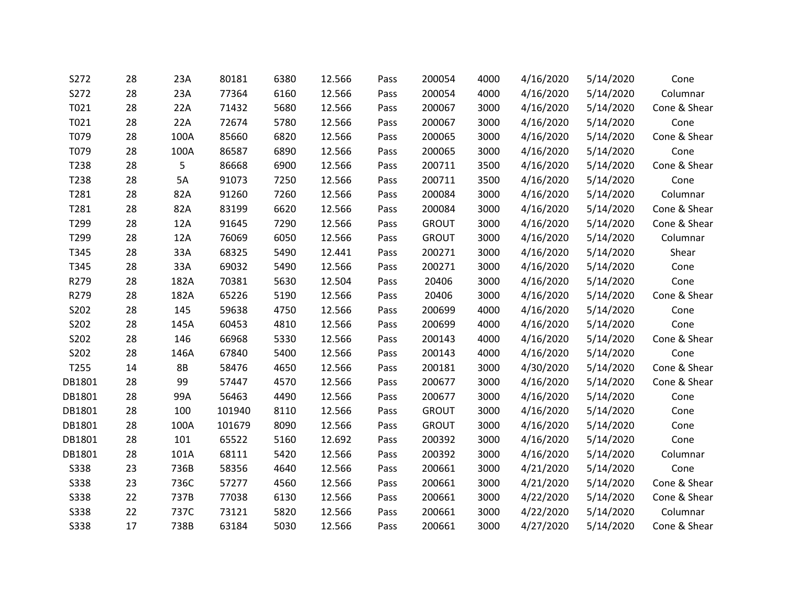| S272        | 28 | 23A       | 80181  | 6380 | 12.566 | Pass | 200054       | 4000 | 4/16/2020 | 5/14/2020 | Cone         |
|-------------|----|-----------|--------|------|--------|------|--------------|------|-----------|-----------|--------------|
| S272        | 28 | 23A       | 77364  | 6160 | 12.566 | Pass | 200054       | 4000 | 4/16/2020 | 5/14/2020 | Columnar     |
| T021        | 28 | 22A       | 71432  | 5680 | 12.566 | Pass | 200067       | 3000 | 4/16/2020 | 5/14/2020 | Cone & Shear |
| T021        | 28 | 22A       | 72674  | 5780 | 12.566 | Pass | 200067       | 3000 | 4/16/2020 | 5/14/2020 | Cone         |
| T079        | 28 | 100A      | 85660  | 6820 | 12.566 | Pass | 200065       | 3000 | 4/16/2020 | 5/14/2020 | Cone & Shear |
| T079        | 28 | 100A      | 86587  | 6890 | 12.566 | Pass | 200065       | 3000 | 4/16/2020 | 5/14/2020 | Cone         |
| T238        | 28 | 5         | 86668  | 6900 | 12.566 | Pass | 200711       | 3500 | 4/16/2020 | 5/14/2020 | Cone & Shear |
| T238        | 28 | 5A        | 91073  | 7250 | 12.566 | Pass | 200711       | 3500 | 4/16/2020 | 5/14/2020 | Cone         |
| T281        | 28 | 82A       | 91260  | 7260 | 12.566 | Pass | 200084       | 3000 | 4/16/2020 | 5/14/2020 | Columnar     |
| T281        | 28 | 82A       | 83199  | 6620 | 12.566 | Pass | 200084       | 3000 | 4/16/2020 | 5/14/2020 | Cone & Shear |
| T299        | 28 | 12A       | 91645  | 7290 | 12.566 | Pass | <b>GROUT</b> | 3000 | 4/16/2020 | 5/14/2020 | Cone & Shear |
| T299        | 28 | 12A       | 76069  | 6050 | 12.566 | Pass | <b>GROUT</b> | 3000 | 4/16/2020 | 5/14/2020 | Columnar     |
| T345        | 28 | 33A       | 68325  | 5490 | 12.441 | Pass | 200271       | 3000 | 4/16/2020 | 5/14/2020 | Shear        |
| T345        | 28 | 33A       | 69032  | 5490 | 12.566 | Pass | 200271       | 3000 | 4/16/2020 | 5/14/2020 | Cone         |
| R279        | 28 | 182A      | 70381  | 5630 | 12.504 | Pass | 20406        | 3000 | 4/16/2020 | 5/14/2020 | Cone         |
| R279        | 28 | 182A      | 65226  | 5190 | 12.566 | Pass | 20406        | 3000 | 4/16/2020 | 5/14/2020 | Cone & Shear |
| S202        | 28 | 145       | 59638  | 4750 | 12.566 | Pass | 200699       | 4000 | 4/16/2020 | 5/14/2020 | Cone         |
| S202        | 28 | 145A      | 60453  | 4810 | 12.566 | Pass | 200699       | 4000 | 4/16/2020 | 5/14/2020 | Cone         |
| S202        | 28 | 146       | 66968  | 5330 | 12.566 | Pass | 200143       | 4000 | 4/16/2020 | 5/14/2020 | Cone & Shear |
| S202        | 28 | 146A      | 67840  | 5400 | 12.566 | Pass | 200143       | 4000 | 4/16/2020 | 5/14/2020 | Cone         |
| T255        | 14 | <b>8B</b> | 58476  | 4650 | 12.566 | Pass | 200181       | 3000 | 4/30/2020 | 5/14/2020 | Cone & Shear |
| DB1801      | 28 | 99        | 57447  | 4570 | 12.566 | Pass | 200677       | 3000 | 4/16/2020 | 5/14/2020 | Cone & Shear |
| DB1801      | 28 | 99A       | 56463  | 4490 | 12.566 | Pass | 200677       | 3000 | 4/16/2020 | 5/14/2020 | Cone         |
| DB1801      | 28 | 100       | 101940 | 8110 | 12.566 | Pass | <b>GROUT</b> | 3000 | 4/16/2020 | 5/14/2020 | Cone         |
| DB1801      | 28 | 100A      | 101679 | 8090 | 12.566 | Pass | <b>GROUT</b> | 3000 | 4/16/2020 | 5/14/2020 | Cone         |
| DB1801      | 28 | 101       | 65522  | 5160 | 12.692 | Pass | 200392       | 3000 | 4/16/2020 | 5/14/2020 | Cone         |
| DB1801      | 28 | 101A      | 68111  | 5420 | 12.566 | Pass | 200392       | 3000 | 4/16/2020 | 5/14/2020 | Columnar     |
| <b>S338</b> | 23 | 736B      | 58356  | 4640 | 12.566 | Pass | 200661       | 3000 | 4/21/2020 | 5/14/2020 | Cone         |
| <b>S338</b> | 23 | 736C      | 57277  | 4560 | 12.566 | Pass | 200661       | 3000 | 4/21/2020 | 5/14/2020 | Cone & Shear |
| <b>S338</b> | 22 | 737B      | 77038  | 6130 | 12.566 | Pass | 200661       | 3000 | 4/22/2020 | 5/14/2020 | Cone & Shear |
| <b>S338</b> | 22 | 737C      | 73121  | 5820 | 12.566 | Pass | 200661       | 3000 | 4/22/2020 | 5/14/2020 | Columnar     |
| S338        | 17 | 738B      | 63184  | 5030 | 12.566 | Pass | 200661       | 3000 | 4/27/2020 | 5/14/2020 | Cone & Shear |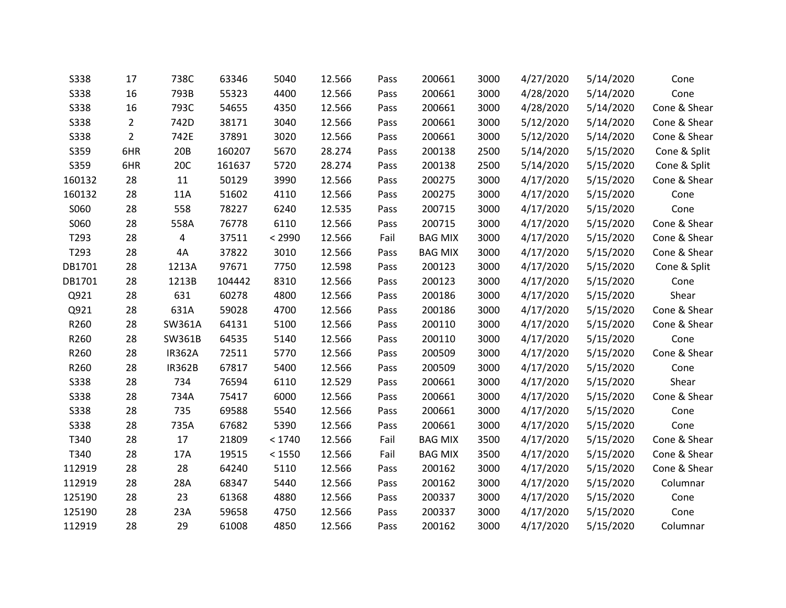| <b>S338</b> | 17             | 738C          | 63346  | 5040   | 12.566 | Pass | 200661         | 3000 | 4/27/2020 | 5/14/2020 | Cone         |
|-------------|----------------|---------------|--------|--------|--------|------|----------------|------|-----------|-----------|--------------|
| S338        | 16             | 793B          | 55323  | 4400   | 12.566 | Pass | 200661         | 3000 | 4/28/2020 | 5/14/2020 | Cone         |
| S338        | 16             | 793C          | 54655  | 4350   | 12.566 | Pass | 200661         | 3000 | 4/28/2020 | 5/14/2020 | Cone & Shear |
| <b>S338</b> | $\overline{2}$ | 742D          | 38171  | 3040   | 12.566 | Pass | 200661         | 3000 | 5/12/2020 | 5/14/2020 | Cone & Shear |
| S338        | $\overline{2}$ | 742E          | 37891  | 3020   | 12.566 | Pass | 200661         | 3000 | 5/12/2020 | 5/14/2020 | Cone & Shear |
| S359        | 6HR            | 20B           | 160207 | 5670   | 28.274 | Pass | 200138         | 2500 | 5/14/2020 | 5/15/2020 | Cone & Split |
| S359        | 6HR            | 20C           | 161637 | 5720   | 28.274 | Pass | 200138         | 2500 | 5/14/2020 | 5/15/2020 | Cone & Split |
| 160132      | 28             | 11            | 50129  | 3990   | 12.566 | Pass | 200275         | 3000 | 4/17/2020 | 5/15/2020 | Cone & Shear |
| 160132      | 28             | 11A           | 51602  | 4110   | 12.566 | Pass | 200275         | 3000 | 4/17/2020 | 5/15/2020 | Cone         |
| S060        | 28             | 558           | 78227  | 6240   | 12.535 | Pass | 200715         | 3000 | 4/17/2020 | 5/15/2020 | Cone         |
| S060        | 28             | 558A          | 76778  | 6110   | 12.566 | Pass | 200715         | 3000 | 4/17/2020 | 5/15/2020 | Cone & Shear |
| T293        | 28             | 4             | 37511  | < 2990 | 12.566 | Fail | <b>BAG MIX</b> | 3000 | 4/17/2020 | 5/15/2020 | Cone & Shear |
| T293        | 28             | 4A            | 37822  | 3010   | 12.566 | Pass | <b>BAG MIX</b> | 3000 | 4/17/2020 | 5/15/2020 | Cone & Shear |
| DB1701      | 28             | 1213A         | 97671  | 7750   | 12.598 | Pass | 200123         | 3000 | 4/17/2020 | 5/15/2020 | Cone & Split |
| DB1701      | 28             | 1213B         | 104442 | 8310   | 12.566 | Pass | 200123         | 3000 | 4/17/2020 | 5/15/2020 | Cone         |
| Q921        | 28             | 631           | 60278  | 4800   | 12.566 | Pass | 200186         | 3000 | 4/17/2020 | 5/15/2020 | Shear        |
| Q921        | 28             | 631A          | 59028  | 4700   | 12.566 | Pass | 200186         | 3000 | 4/17/2020 | 5/15/2020 | Cone & Shear |
| R260        | 28             | SW361A        | 64131  | 5100   | 12.566 | Pass | 200110         | 3000 | 4/17/2020 | 5/15/2020 | Cone & Shear |
| R260        | 28             | SW361B        | 64535  | 5140   | 12.566 | Pass | 200110         | 3000 | 4/17/2020 | 5/15/2020 | Cone         |
| R260        | 28             | <b>IR362A</b> | 72511  | 5770   | 12.566 | Pass | 200509         | 3000 | 4/17/2020 | 5/15/2020 | Cone & Shear |
| R260        | 28             | <b>IR362B</b> | 67817  | 5400   | 12.566 | Pass | 200509         | 3000 | 4/17/2020 | 5/15/2020 | Cone         |
| <b>S338</b> | 28             | 734           | 76594  | 6110   | 12.529 | Pass | 200661         | 3000 | 4/17/2020 | 5/15/2020 | Shear        |
| <b>S338</b> | 28             | 734A          | 75417  | 6000   | 12.566 | Pass | 200661         | 3000 | 4/17/2020 | 5/15/2020 | Cone & Shear |
| <b>S338</b> | 28             | 735           | 69588  | 5540   | 12.566 | Pass | 200661         | 3000 | 4/17/2020 | 5/15/2020 | Cone         |
| S338        | 28             | 735A          | 67682  | 5390   | 12.566 | Pass | 200661         | 3000 | 4/17/2020 | 5/15/2020 | Cone         |
| T340        | 28             | 17            | 21809  | < 1740 | 12.566 | Fail | <b>BAG MIX</b> | 3500 | 4/17/2020 | 5/15/2020 | Cone & Shear |
| T340        | 28             | 17A           | 19515  | < 1550 | 12.566 | Fail | <b>BAG MIX</b> | 3500 | 4/17/2020 | 5/15/2020 | Cone & Shear |
| 112919      | 28             | 28            | 64240  | 5110   | 12.566 | Pass | 200162         | 3000 | 4/17/2020 | 5/15/2020 | Cone & Shear |
| 112919      | 28             | 28A           | 68347  | 5440   | 12.566 | Pass | 200162         | 3000 | 4/17/2020 | 5/15/2020 | Columnar     |
| 125190      | 28             | 23            | 61368  | 4880   | 12.566 | Pass | 200337         | 3000 | 4/17/2020 | 5/15/2020 | Cone         |
| 125190      | 28             | 23A           | 59658  | 4750   | 12.566 | Pass | 200337         | 3000 | 4/17/2020 | 5/15/2020 | Cone         |
| 112919      | 28             | 29            | 61008  | 4850   | 12.566 | Pass | 200162         | 3000 | 4/17/2020 | 5/15/2020 | Columnar     |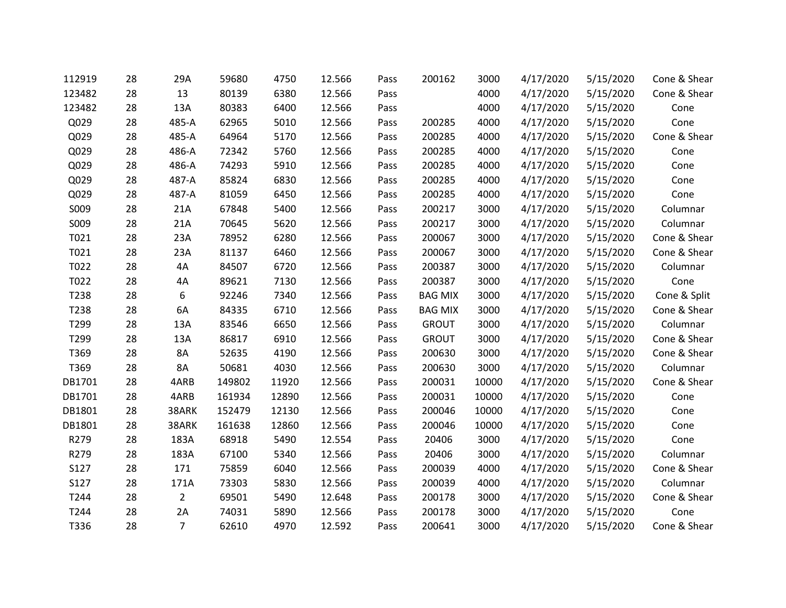| 112919 | 28 | 29A            | 59680  | 4750  | 12.566 | Pass | 200162         | 3000  | 4/17/2020 | 5/15/2020 | Cone & Shear |
|--------|----|----------------|--------|-------|--------|------|----------------|-------|-----------|-----------|--------------|
| 123482 | 28 | 13             | 80139  | 6380  | 12.566 | Pass |                | 4000  | 4/17/2020 | 5/15/2020 | Cone & Shear |
| 123482 | 28 | 13A            | 80383  | 6400  | 12.566 | Pass |                | 4000  | 4/17/2020 | 5/15/2020 | Cone         |
| Q029   | 28 | 485-A          | 62965  | 5010  | 12.566 | Pass | 200285         | 4000  | 4/17/2020 | 5/15/2020 | Cone         |
| Q029   | 28 | 485-A          | 64964  | 5170  | 12.566 | Pass | 200285         | 4000  | 4/17/2020 | 5/15/2020 | Cone & Shear |
| Q029   | 28 | 486-A          | 72342  | 5760  | 12.566 | Pass | 200285         | 4000  | 4/17/2020 | 5/15/2020 | Cone         |
| Q029   | 28 | 486-A          | 74293  | 5910  | 12.566 | Pass | 200285         | 4000  | 4/17/2020 | 5/15/2020 | Cone         |
| Q029   | 28 | 487-A          | 85824  | 6830  | 12.566 | Pass | 200285         | 4000  | 4/17/2020 | 5/15/2020 | Cone         |
| Q029   | 28 | 487-A          | 81059  | 6450  | 12.566 | Pass | 200285         | 4000  | 4/17/2020 | 5/15/2020 | Cone         |
| S009   | 28 | 21A            | 67848  | 5400  | 12.566 | Pass | 200217         | 3000  | 4/17/2020 | 5/15/2020 | Columnar     |
| S009   | 28 | 21A            | 70645  | 5620  | 12.566 | Pass | 200217         | 3000  | 4/17/2020 | 5/15/2020 | Columnar     |
| T021   | 28 | 23A            | 78952  | 6280  | 12.566 | Pass | 200067         | 3000  | 4/17/2020 | 5/15/2020 | Cone & Shear |
| T021   | 28 | 23A            | 81137  | 6460  | 12.566 | Pass | 200067         | 3000  | 4/17/2020 | 5/15/2020 | Cone & Shear |
| T022   | 28 | 4A             | 84507  | 6720  | 12.566 | Pass | 200387         | 3000  | 4/17/2020 | 5/15/2020 | Columnar     |
| T022   | 28 | 4A             | 89621  | 7130  | 12.566 | Pass | 200387         | 3000  | 4/17/2020 | 5/15/2020 | Cone         |
| T238   | 28 | 6              | 92246  | 7340  | 12.566 | Pass | <b>BAG MIX</b> | 3000  | 4/17/2020 | 5/15/2020 | Cone & Split |
| T238   | 28 | 6A             | 84335  | 6710  | 12.566 | Pass | <b>BAG MIX</b> | 3000  | 4/17/2020 | 5/15/2020 | Cone & Shear |
| T299   | 28 | 13A            | 83546  | 6650  | 12.566 | Pass | <b>GROUT</b>   | 3000  | 4/17/2020 | 5/15/2020 | Columnar     |
| T299   | 28 | 13A            | 86817  | 6910  | 12.566 | Pass | <b>GROUT</b>   | 3000  | 4/17/2020 | 5/15/2020 | Cone & Shear |
| T369   | 28 | <b>8A</b>      | 52635  | 4190  | 12.566 | Pass | 200630         | 3000  | 4/17/2020 | 5/15/2020 | Cone & Shear |
| T369   | 28 | 8A             | 50681  | 4030  | 12.566 | Pass | 200630         | 3000  | 4/17/2020 | 5/15/2020 | Columnar     |
| DB1701 | 28 | 4ARB           | 149802 | 11920 | 12.566 | Pass | 200031         | 10000 | 4/17/2020 | 5/15/2020 | Cone & Shear |
| DB1701 | 28 | 4ARB           | 161934 | 12890 | 12.566 | Pass | 200031         | 10000 | 4/17/2020 | 5/15/2020 | Cone         |
| DB1801 | 28 | 38ARK          | 152479 | 12130 | 12.566 | Pass | 200046         | 10000 | 4/17/2020 | 5/15/2020 | Cone         |
| DB1801 | 28 | 38ARK          | 161638 | 12860 | 12.566 | Pass | 200046         | 10000 | 4/17/2020 | 5/15/2020 | Cone         |
| R279   | 28 | 183A           | 68918  | 5490  | 12.554 | Pass | 20406          | 3000  | 4/17/2020 | 5/15/2020 | Cone         |
| R279   | 28 | 183A           | 67100  | 5340  | 12.566 | Pass | 20406          | 3000  | 4/17/2020 | 5/15/2020 | Columnar     |
| S127   | 28 | 171            | 75859  | 6040  | 12.566 | Pass | 200039         | 4000  | 4/17/2020 | 5/15/2020 | Cone & Shear |
| S127   | 28 | 171A           | 73303  | 5830  | 12.566 | Pass | 200039         | 4000  | 4/17/2020 | 5/15/2020 | Columnar     |
| T244   | 28 | $\overline{2}$ | 69501  | 5490  | 12.648 | Pass | 200178         | 3000  | 4/17/2020 | 5/15/2020 | Cone & Shear |
| T244   | 28 | 2A             | 74031  | 5890  | 12.566 | Pass | 200178         | 3000  | 4/17/2020 | 5/15/2020 | Cone         |
| T336   | 28 | $\overline{7}$ | 62610  | 4970  | 12.592 | Pass | 200641         | 3000  | 4/17/2020 | 5/15/2020 | Cone & Shear |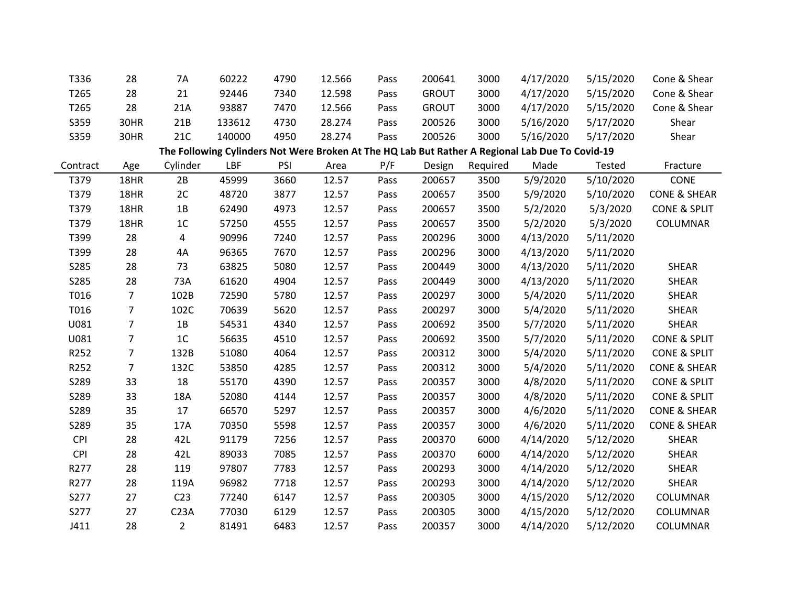| T336       | 28             | 7A               | 60222  | 4790 | 12.566 | Pass | 200641       | 3000     | 4/17/2020                                                                                       | 5/15/2020 | Cone & Shear            |
|------------|----------------|------------------|--------|------|--------|------|--------------|----------|-------------------------------------------------------------------------------------------------|-----------|-------------------------|
| T265       | 28             | 21               | 92446  | 7340 | 12.598 | Pass | <b>GROUT</b> | 3000     | 4/17/2020                                                                                       | 5/15/2020 | Cone & Shear            |
| T265       | 28             | 21A              | 93887  | 7470 | 12.566 | Pass | <b>GROUT</b> | 3000     | 4/17/2020                                                                                       | 5/15/2020 | Cone & Shear            |
| S359       | 30HR           | 21B              | 133612 | 4730 | 28.274 | Pass | 200526       | 3000     | 5/16/2020                                                                                       | 5/17/2020 | Shear                   |
| S359       | 30HR           | 21C              | 140000 | 4950 | 28.274 | Pass | 200526       | 3000     | 5/16/2020                                                                                       | 5/17/2020 | Shear                   |
|            |                |                  |        |      |        |      |              |          | The Following Cylinders Not Were Broken At The HQ Lab But Rather A Regional Lab Due To Covid-19 |           |                         |
| Contract   | Age            | Cylinder         | LBF    | PSI  | Area   | P/F  | Design       | Required | Made                                                                                            | Tested    | Fracture                |
| T379       | 18HR           | 2B               | 45999  | 3660 | 12.57  | Pass | 200657       | 3500     | 5/9/2020                                                                                        | 5/10/2020 | CONE                    |
| T379       | 18HR           | 2C               | 48720  | 3877 | 12.57  | Pass | 200657       | 3500     | 5/9/2020                                                                                        | 5/10/2020 | <b>CONE &amp; SHEAR</b> |
| T379       | 18HR           | 1B               | 62490  | 4973 | 12.57  | Pass | 200657       | 3500     | 5/2/2020                                                                                        | 5/3/2020  | <b>CONE &amp; SPLIT</b> |
| T379       | 18HR           | 1 <sup>C</sup>   | 57250  | 4555 | 12.57  | Pass | 200657       | 3500     | 5/2/2020                                                                                        | 5/3/2020  | COLUMNAR                |
| T399       | 28             | 4                | 90996  | 7240 | 12.57  | Pass | 200296       | 3000     | 4/13/2020                                                                                       | 5/11/2020 |                         |
| T399       | 28             | 4A               | 96365  | 7670 | 12.57  | Pass | 200296       | 3000     | 4/13/2020                                                                                       | 5/11/2020 |                         |
| S285       | 28             | 73               | 63825  | 5080 | 12.57  | Pass | 200449       | 3000     | 4/13/2020                                                                                       | 5/11/2020 | SHEAR                   |
| S285       | 28             | 73A              | 61620  | 4904 | 12.57  | Pass | 200449       | 3000     | 4/13/2020                                                                                       | 5/11/2020 | SHEAR                   |
| T016       | $\overline{7}$ | 102B             | 72590  | 5780 | 12.57  | Pass | 200297       | 3000     | 5/4/2020                                                                                        | 5/11/2020 | SHEAR                   |
| T016       | $\overline{7}$ | 102C             | 70639  | 5620 | 12.57  | Pass | 200297       | 3000     | 5/4/2020                                                                                        | 5/11/2020 | SHEAR                   |
| U081       | $\overline{7}$ | 1B               | 54531  | 4340 | 12.57  | Pass | 200692       | 3500     | 5/7/2020                                                                                        | 5/11/2020 | SHEAR                   |
| U081       | $\overline{7}$ | 1 <sup>C</sup>   | 56635  | 4510 | 12.57  | Pass | 200692       | 3500     | 5/7/2020                                                                                        | 5/11/2020 | <b>CONE &amp; SPLIT</b> |
| R252       | $\overline{7}$ | 132B             | 51080  | 4064 | 12.57  | Pass | 200312       | 3000     | 5/4/2020                                                                                        | 5/11/2020 | <b>CONE &amp; SPLIT</b> |
| R252       | $\overline{7}$ | 132C             | 53850  | 4285 | 12.57  | Pass | 200312       | 3000     | 5/4/2020                                                                                        | 5/11/2020 | <b>CONE &amp; SHEAR</b> |
| S289       | 33             | 18               | 55170  | 4390 | 12.57  | Pass | 200357       | 3000     | 4/8/2020                                                                                        | 5/11/2020 | <b>CONE &amp; SPLIT</b> |
| S289       | 33             | 18A              | 52080  | 4144 | 12.57  | Pass | 200357       | 3000     | 4/8/2020                                                                                        | 5/11/2020 | <b>CONE &amp; SPLIT</b> |
| S289       | 35             | 17               | 66570  | 5297 | 12.57  | Pass | 200357       | 3000     | 4/6/2020                                                                                        | 5/11/2020 | <b>CONE &amp; SHEAR</b> |
| S289       | 35             | 17A              | 70350  | 5598 | 12.57  | Pass | 200357       | 3000     | 4/6/2020                                                                                        | 5/11/2020 | <b>CONE &amp; SHEAR</b> |
| <b>CPI</b> | 28             | 42L              | 91179  | 7256 | 12.57  | Pass | 200370       | 6000     | 4/14/2020                                                                                       | 5/12/2020 | <b>SHEAR</b>            |
| <b>CPI</b> | 28             | 42L              | 89033  | 7085 | 12.57  | Pass | 200370       | 6000     | 4/14/2020                                                                                       | 5/12/2020 | SHEAR                   |
| R277       | 28             | 119              | 97807  | 7783 | 12.57  | Pass | 200293       | 3000     | 4/14/2020                                                                                       | 5/12/2020 | SHEAR                   |
| R277       | 28             | 119A             | 96982  | 7718 | 12.57  | Pass | 200293       | 3000     | 4/14/2020                                                                                       | 5/12/2020 | SHEAR                   |
| S277       | 27             | C <sub>23</sub>  | 77240  | 6147 | 12.57  | Pass | 200305       | 3000     | 4/15/2020                                                                                       | 5/12/2020 | COLUMNAR                |
| S277       | 27             | C <sub>23A</sub> | 77030  | 6129 | 12.57  | Pass | 200305       | 3000     | 4/15/2020                                                                                       | 5/12/2020 | COLUMNAR                |
| J411       | 28             | $\overline{2}$   | 81491  | 6483 | 12.57  | Pass | 200357       | 3000     | 4/14/2020                                                                                       | 5/12/2020 | COLUMNAR                |